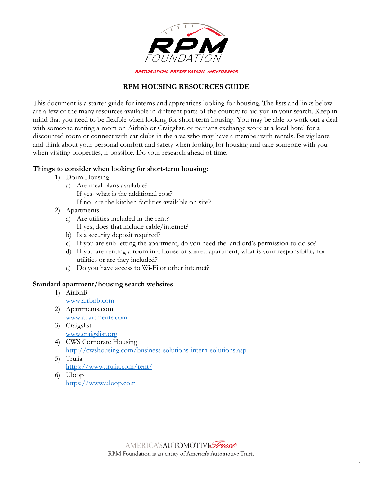

### **RPM HOUSING RESOURCES GUIDE**

This document is a starter guide for interns and apprentices looking for housing. The lists and links below are a few of the many resources available in different parts of the country to aid you in your search. Keep in mind that you need to be flexible when looking for short-term housing. You may be able to work out a deal with someone renting a room on Airbnb or Craigslist, or perhaps exchange work at a local hotel for a discounted room or connect with car clubs in the area who may have a member with rentals. Be vigilante and think about your personal comfort and safety when looking for housing and take someone with you when visiting properties, if possible. Do your research ahead of time.

### **Things to consider when looking for short-term housing:**

- 1) Dorm Housing
	- a) Are meal plans available? If yes- what is the additional cost? If no- are the kitchen facilities available on site?
- 2) Apartments
	- a) Are utilities included in the rent? If yes, does that include cable/internet?
	- b) Is a security deposit required?
	- c) If you are sub-letting the apartment, do you need the landlord's permission to do so?
	- d) If you are renting a room in a house or shared apartment, what is your responsibility for utilities or are they included?
	- e) Do you have access to Wi-Fi or other internet?

## **Standard apartment/housing search websites**

- 1) AirBnB [www.airbnb.com](http://www.airbnb.com/) 2) Apartments.com
- [www.apartments.com](http://www.apartments.com/) 3) Craigslist
	- [www.craigslist.org](http://www.craigslist.org/)
- 4) CWS Corporate Housing <http://cwshousing.com/business-solutions-intern-solutions.asp>
- 5) Trulia <https://www.trulia.com/rent/>
- 6) Uloop [https://www.uloop.com](https://www.uloop.com/)

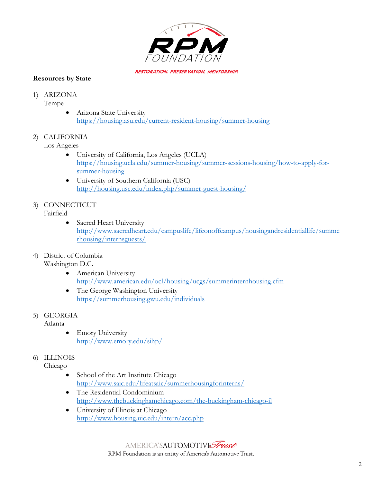

### **Resources by State**

## 1) ARIZONA

Tempe

• Arizona State University <https://housing.asu.edu/current-resident-housing/summer-housing>

## 2) CALIFORNIA

Los Angeles

- University of California, Los Angeles (UCLA) [https://housing.ucla.edu/summer-housing/summer-sessions-housing/how-to-apply-for](https://housing.ucla.edu/summer-housing/summer-sessions-housing/how-to-apply-for-summer-housing)[summer-housing](https://housing.ucla.edu/summer-housing/summer-sessions-housing/how-to-apply-for-summer-housing)
- University of Southern California (USC) <http://housing.usc.edu/index.php/summer-guest-housing/>

#### 3) CONNECTICUT Fairfield

• Sacred Heart University [http://www.sacredheart.edu/campuslife/lifeonoffcampus/housingandresidentiallife/summe](http://www.sacredheart.edu/campuslife/lifeonoffcampus/housingandresidentiallife/summerhousing/internsguests/) [rhousing/internsguests/](http://www.sacredheart.edu/campuslife/lifeonoffcampus/housingandresidentiallife/summerhousing/internsguests/)

#### 4) District of Columbia Washington D.C.

- American University <http://www.american.edu/ocl/housing/ucgs/summerinternhousing.cfm>
- The George Washington University <https://summerhousing.gwu.edu/individuals>

# 5) GEORGIA

Atlanta

• Emory University <http://www.emory.edu/sihp/>

## 6) ILLINOIS

Chicago

- School of the Art Institute Chicago <http://www.saic.edu/lifeatsaic/summerhousingforinterns/>
- The Residential Condominium <http://www.thebuckinghamchicago.com/the-buckingham-chicago-il>
- University of Illinois at Chicago <http://www.housing.uic.edu/intern/acc.php>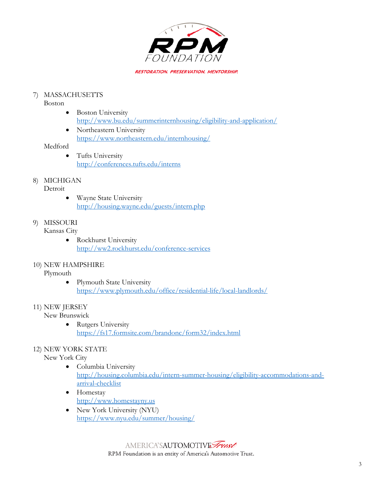

## 7) MASSACHUSETTS

Boston

- Boston University <http://www.bu.edu/summerinternhousing/eligibility-and-application/>
- Northeastern University <https://www.northeastern.edu/internhousing/>

### Medford

• Tufts University <http://conferences.tufts.edu/interns>

## 8) MICHIGAN

### **Detroit**

• Wayne State University <http://housing.wayne.edu/guests/intern.php>

# 9) MISSOURI

### Kansas City

• Rockhurst University <http://ww2.rockhurst.edu/conference-services>

## 10) NEW HAMPSHIRE

### Plymouth

• Plymouth State University <https://www.plymouth.edu/office/residential-life/local-landlords/>

### 11) NEW JERSEY

New Brunswick

• Rutgers University <https://fs17.formsite.com/brandonc/form32/index.html>

### 12) NEW YORK STATE

### New York City

- Columbia University [http://housing.columbia.edu/intern-summer-housing/eligibility-accommodations-and](http://housing.columbia.edu/intern-summer-housing/eligibility-accommodations-and-arrival-checklist)[arrival-checklist](http://housing.columbia.edu/intern-summer-housing/eligibility-accommodations-and-arrival-checklist)
- Homestay [http://www.homestayny.us](http://www.homestayny.us/)
- New York University (NYU) <https://www.nyu.edu/summer/housing/>